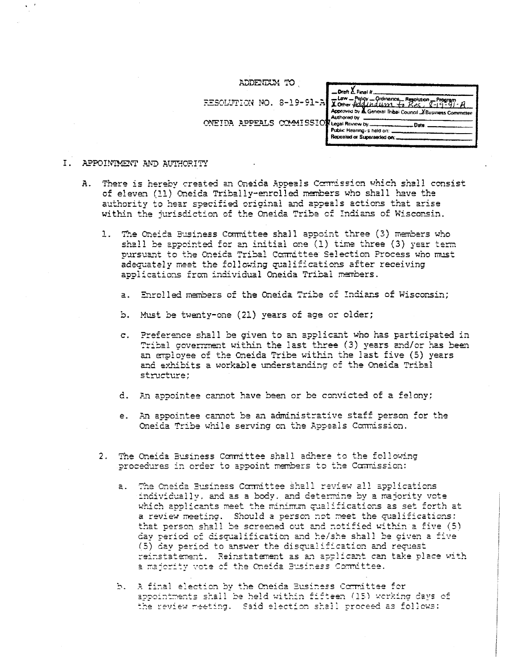| ADDENDUM TO                                   |                                                                                                                                                                 |
|-----------------------------------------------|-----------------------------------------------------------------------------------------------------------------------------------------------------------------|
|                                               | <b>Draft</b> $\overline{L}$ Final tr<br>FESCLUTION NO. 8-19-91-A Xomer Adolfantum to Res. 8-19-91.<br>Approved by A General Tribai Council Y Business Committee |
| COMMISSION Legal Review by.<br><b>ADDEALS</b> | Authored by<br>Date<br>Public Hearing, a held on:<br>Repealed or Superseded on:                                                                                 |

### I. APPOINTMENT AND AUTHORITY

- A. There is hereby created an Oneida Appeals Commission which shall consist of eleven (11) Oneida Tribally-enrolled members who shall have the authority to hear specified original and appeals actions that arise within the jurisdiction of the Oneida Tribe of Indians of Wisconsin.
	- 1. The Oneida Business Committee shall appoint three (3) members who shall be appointed for an initial one  $(1)$  time three  $(3)$  year term pursuant to the Oneida Tribal Committee Selection Process who must adequately meet the following qualifications after receiving applications from individual Oneida Tribal members.
		- a. Enrolled members of the Oneida Tribe of Indians of Wisconsin;
		- b. Must be twenty-one (21) years of age or older;
		- c. Preference shall be given to an applicant who has participated in Tribal government within the last three (3) years and/or has been an employee of the Oneida Tribe within the last five (5) years and exhibits a workable understanding of the Oneida Tribal structure;
		- d. An appointee cannot have been or be convicted of a felony;
		- e. An appointee cannot be an administrative staff person for the Oneida Tribe while serving on the Appeals Commission.
	- 2. The Oneida Business Committee shall adhere to the following procedures in order to appoint members to the Commission:
		- a. The Oneida Business Committee shall review all applications individually, and as a body, and determine by a majority vote which applicants meet the minimum qualifications as set forth at a review meeting. Should a person not meet the qualifications: that person shall be screened out and notified within a five (5) cav period of disqualification and he/she shall be given a five (5) day period to answer the aiscualification and request reinstatement. Reinstatement as an applicant can take place with a majoritv vote of the Oneida Business Committee.
		- b. A final election by the Oneida Business Committee for appointments shall be held within fifteen (15) working days of the review meeting. Said election shall proceed as follows: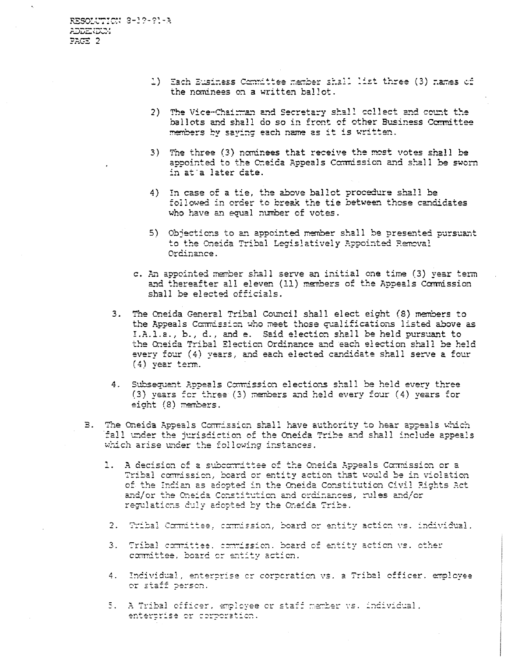- 1) Each Eusiness Committee member shall list three (3) names of the nominees on a written ballot.
- 2) The Vice-Chairman and Secretary shall collect and count the ballots and shall do so in front of other Business Committee members bv saving each name as it is written.
- 3) The three (3) nominees that receive the most votes shall be appointed to the Oneida Appeals Commission and shall be sworn in at'a later date.
- 4) In case of a tie, the above ballot procedure shall be followed in order to break the tie between those candidates who have an equal number of votes.
- 5) Objections to an appointed member shall be presented pursuant to the Oneida Tribal Legislatively Appointed Removal Ordinance.
- c. An appointed member shall serve an initial one time (3) year term and thereafter all eleven (11) members of the Appeals Commission shall be elected officials.
- 3. The Oneida General Tribal Council shall elect eight (8) members to the Appeals Commission who meet those cualifications listed above as I.A.l.a., b., d., and e. Said election shall be held pursuant to the Oneida Tribal Election Ordinance and each election shall be held every four (4) years, and each elected candidate shall serve a four (4) year term.
- 4. Subsequent Appeals Commission elections shall be held every three (3) years for three (3) members and held every four (4) years for eight (8) members.
- B. The Oneida Appeals Commission shall have authority to hear appeals which fall under the jurisdiction of the Oneida Tribe and shall include appeals which arise under the following instances.
	- 1. A decision of a subcommittee of the Oneida Appeals Commission or a Tribal commission, board or entity action that would be in violation of the Indian as adopted in the Oneida Constitution Civil Rights Act and/or the Oneida Constitution and ordinances, rules and/or regulations duly adopted by the Oneida Tribe.
		- ormittee, commission, board or entity action vs. individual
	- 3. Tribal committee, commission, board of entity action ws. other committee, board or entity action.
	- 4. Individual, enterprise or corporation vs. a Tribal officer. employee or staff person.
	- 5. A Tribal officer, employee or staff member ws. individual, enterprise or corporation.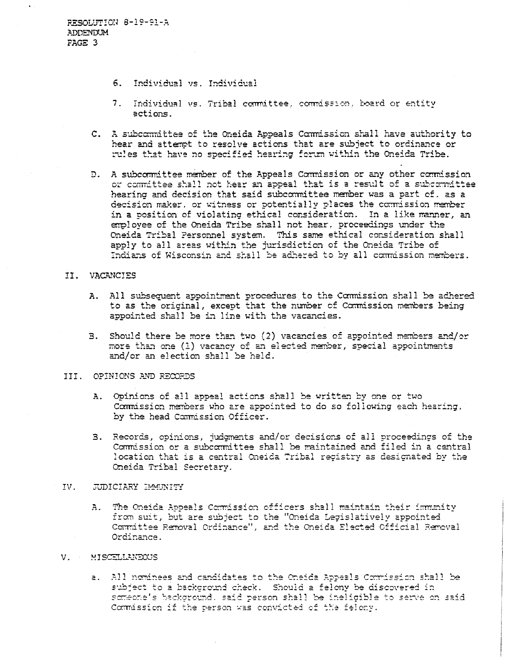- 6. Individual vs. Individual
- 7. Individual vs. Tribal committee, commission, board or entity actions.
- C. A subcommittee of the Oneida Appeals Commission shall have authority to hear and attempt to resolve actions that are subject to ordinance or rules that have no specified hearing forum within the Oneida Tribe.
- D. A subcommittee member of the Appeals Commission or any other commission or committee shall not hear an appeal that is a result of a subcommittee hearing and decision that said subcommittee member was a part of. as a decision maker. or witness or potentially places the commission member in a position of violating ethical consideration. In a like manner, an employee of the Oneida Tribe shall not hear, proceedings under the Oneida Tribal Personnel system. This same ethical consideration shall apply to all areas within the jurisdiction of the Oneida Tribe of Indians of Wisconsin and shall be adhered to by all commission members.

### II. VACANCIES

- A. All subsequent appointment procedures to the Commission shall be adhered to as the original, except that the number of Commission members being appointed shall be in line with the vacancies.
- 3. Should there be more than two (2) vacancies of appointed members and/or more than one (1) vacancy of an elected member, special appointments and/or an election shall be held.

## III . OPINIONS AND RECORDS

- A. Opinions of all appeal actions shall be written by one or two Commission members who are appointed to do so following each hearing, by the head Commission Officer.
- 3. Records, opinions, judgments and/or decisions of all proceedings of the Commission or a subcommittee shall be maintained and filed in a central location that is a central Oneida Tribal registry as designated by the Oneida Tribal Secretary.

### IV. JUDICIARY IMMUNITY

A. The Oneida Appeals Commission officers shall maintain their immunity from suit, but are subject to the "Oneida Legislatively appointed Comrdttee Removal Ordinance", and the Oneida Elected Official Removal Ordinance.

#### V. MISCELLANEOUS

a. All nominees and candidates to the Oneida Appeals Commission shall be subject to a background check. Should a felony be discovered in someone's background, said person shall be ineligible to serve on said Commission if the person was convicted of the felony.